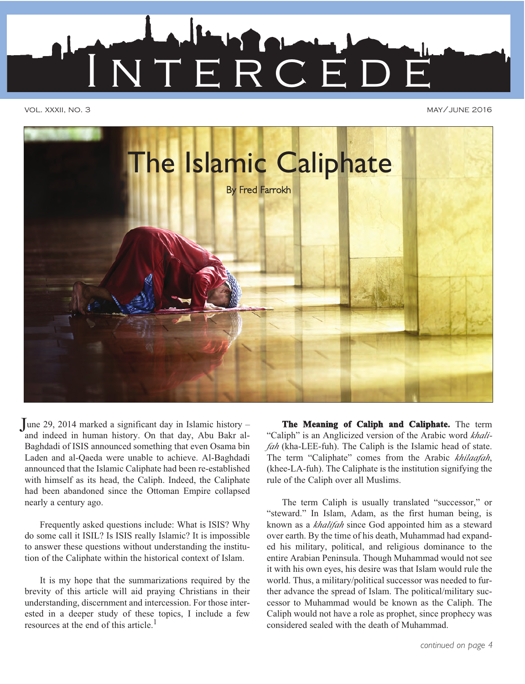

vol. xxxii, no. 3 may/june 2016



June 29, 2014 marked a significant day in Islamic history –<br>and indeed in human history. On that day, Abu Bakr al. "Caliph" is an Anglicized version of the Arabic word khaliand indeed in human history. On that day, Abu Bakr al-Baghdadi of ISIS announced something that even Osama bin Laden and al-Qaeda were unable to achieve. Al-Baghdadi announced that the Islamic Caliphate had been re-established with himself as its head, the Caliph. Indeed, the Caliphate had been abandoned since the Ottoman Empire collapsed nearly a century ago.

Frequently asked questions include: What is ISIS? Why do some call it ISIL? Is ISIS really Islamic? It is impossible to answer these questions without understanding the institution of the Caliphate within the historical context of Islam.

It is my hope that the summarizations required by the brevity of this article will aid praying Christians in their understanding, discernment and intercession. For those interested in a deeper study of these topics, I include a few resources at the end of this article.1

"Caliph" is an Anglicized version of the Arabic word *khalifah* (kha-LEE-fuh). The Caliph is the Islamic head of state. The term "Caliphate" comes from the Arabic *khilaafah*, (khee-LA-fuh). The Caliphate is the institution signifying the rule of the Caliph over all Muslims.

The term Caliph is usually translated "successor," or "steward." In Islam, Adam, as the first human being, is known as a *khalifah* since God appointed him as a steward over earth. By the time of his death, Muhammad had expanded his military, political, and religious dominance to the entire Arabian Peninsula. Though Muhammad would not see it with his own eyes, his desire was that Islam would rule the world. Thus, a military/political successor was needed to further advance the spread of Islam. The political/military successor to Muhammad would be known as the Caliph. The Caliph would not have a role as prophet, since prophecy was considered sealed with the death of Muhammad.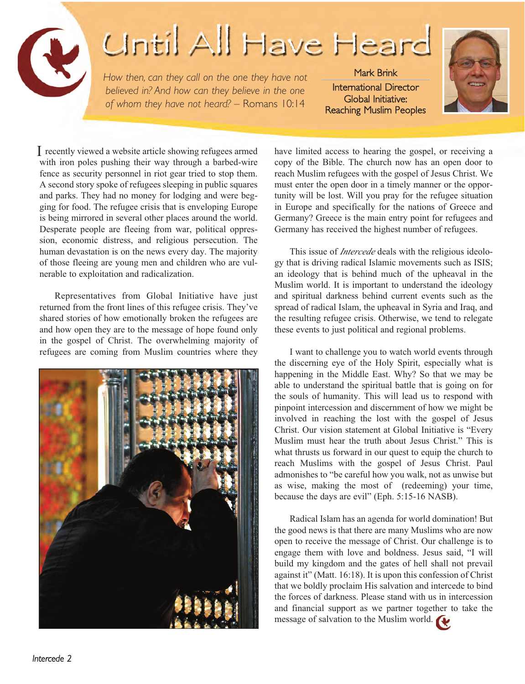

## **Until All Have Heard**

*How then, can they call on the one they have not believed in? And how can they believe in the one of whom they have not heard? –* Romans 10:14

Mark Brink International Director Global Initiative: Reaching Muslim Peoples



with iron poles pushing their way through a barbed-wire fence as security personnel in riot gear tried to stop them. A second story spoke of refugees sleeping in public squares and parks. They had no money for lodging and were begging for food. The refugee crisis that is enveloping Europe is being mirrored in several other places around the world. Desperate people are fleeing from war, political oppression, economic distress, and religious persecution. The human devastation is on the news every day. The majority of those fleeing are young men and children who are vulnerable to exploitation and radicalization.

Representatives from Global Initiative have just returned from the front lines of this refugee crisis. They've shared stories of how emotionally broken the refugees are and how open they are to the message of hope found only in the gospel of Christ. The overwhelming majority of refugees are coming from Muslim countries where they



I recently viewed a website article showing refugees armed have limited access to hearing the gospel, or receiving a copy of the Bible. The church now has an open door to reach Muslim refugees with the gospel of Jesus Christ. We must enter the open door in a timely manner or the opportunity will be lost. Will you pray for the refugee situation in Europe and specifically for the nations of Greece and Germany? Greece is the main entry point for refugees and Germany has received the highest number of refugees.

> This issue of *Intercede* deals with the religious ideology that is driving radical Islamic movements such as ISIS; an ideology that is behind much of the upheaval in the Muslim world. It is important to understand the ideology and spiritual darkness behind current events such as the spread of radical Islam, the upheaval in Syria and Iraq, and the resulting refugee crisis. Otherwise, we tend to relegate these events to just political and regional problems.

> I want to challenge you to watch world events through the discerning eye of the Holy Spirit, especially what is happening in the Middle East. Why? So that we may be able to understand the spiritual battle that is going on for the souls of humanity. This will lead us to respond with pinpoint intercession and discernment of how we might be involved in reaching the lost with the gospel of Jesus Christ. Our vision statement at Global Initiative is "Every Muslim must hear the truth about Jesus Christ." This is what thrusts us forward in our quest to equip the church to reach Muslims with the gospel of Jesus Christ. Paul admonishes to "be careful how you walk, not as unwise but as wise, making the most of (redeeming) your time, because the days are evil" (Eph. 5:15-16 NASB).

> Radical Islam has an agenda for world domination! But the good news is that there are many Muslims who are now open to receive the message of Christ. Our challenge is to engage them with love and boldness. Jesus said, "I will build my kingdom and the gates of hell shall not prevail against it" (Matt. 16:18). It is upon this confession of Christ that we boldly proclaim His salvation and intercede to bind the forces of darkness. Please stand with us in intercession and financial support as we partner together to take the message of salvation to the Muslim world.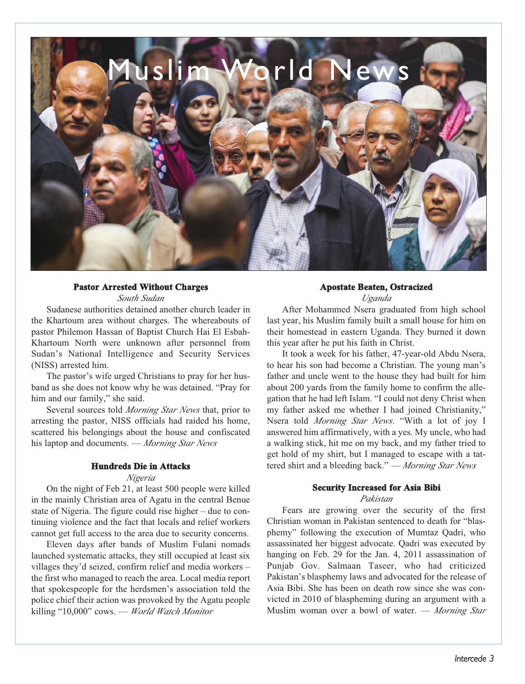

#### **Pastor Arrested Without Charges**

*South Sudan*

Sudanese authorities detained another church leader in the Khartoum area without charges. The whereabouts of pastor Philemon Hassan of Baptist Church Hai El Esbah-Khartoum North were unknown after personnel from Sudan's National Intelligence and Security Services (NISS) arrested him.

The pastor's wife urged Christians to pray for her husband as she does not know why he was detained. "Pray for him and our family," she said.

Several sources told *Morning Star News* that, prior to arresting the pastor, NISS officials had raided his home, scattered his belongings about the house and confiscated his laptop and documents. –– *Morning Star News*

#### **Hundreds Die in Attacks**

#### *Nigeria*

On the night of Feb 21, at least 500 people were killed in the mainly Christian area of Agatu in the central Benue state of Nigeria. The figure could rise higher – due to continuing violence and the fact that locals and relief workers cannot get full access to the area due to security concerns.

Eleven days after bands of Muslim Fulani nomads launched systematic attacks, they still occupied at least six villages they'd seized, confirm relief and media workers – the first who managed to reach the area. Local media report that spokespeople for the herdsmen's association told the police chief their action was provoked by the Agatu people killing "10,000" cows. –– *World Watch Monitor*

#### **Apostate Beaten, Ostracized**

*Uganda*

After Mohammed Nsera graduated from high school last year, his Muslim family built a small house for him on their homestead in eastern Uganda. They burned it down this year after he put his faith in Christ.

It took a week for his father, 47-year-old Abdu Nsera, to hear his son had become a Christian. The young man's father and uncle went to the house they had built for him about 200 yards from the family home to confirm the allegation that he had left Islam. "I could not deny Christ when my father asked me whether I had joined Christianity," Nsera told *Morning Star News*. "With a lot of joy I answered him affirmatively, with a yes. My uncle, who had a walking stick, hit me on my back, and my father tried to get hold of my shirt, but I managed to escape with a tattered shirt and a bleeding back." *–– Morning Star News*

#### **Security Increased for Asia Bibi**

#### *Pakistan*

Fears are growing over the security of the first Christian woman in Pakistan sentenced to death for "blasphemy" following the execution of Mumtaz Qadri, who assassinated her biggest advocate. Qadri was executed by hanging on Feb. 29 for the Jan. 4, 2011 assassination of Punjab Gov. Salmaan Taseer, who had criticized Pakistan's blasphemy laws and advocated for the release of Asia Bibi. She has been on death row since she was convicted in 2010 of blaspheming during an argument with a Muslim woman over a bowl of water. *–– Morning Star*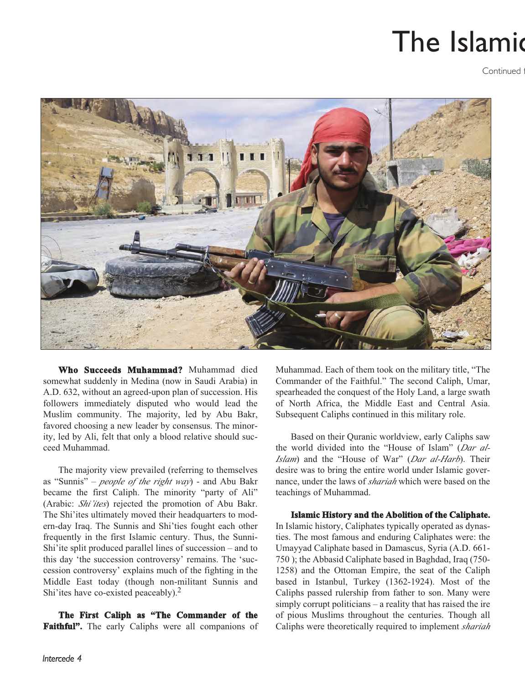### The Islamic

**Continued** 



**Who Succeeds Muhammad?** Muhammad died somewhat suddenly in Medina (now in Saudi Arabia) in A.D. 632, without an agreed-upon plan of succession. His followers immediately disputed who would lead the Muslim community. The majority, led by Abu Bakr, favored choosing a new leader by consensus. The minority, led by Ali, felt that only a blood relative should succeed Muhammad.

The majority view prevailed (referring to themselves as "Sunnis" – *people of the right way*) - and Abu Bakr became the first Caliph. The minority "party of Ali" (Arabic: *Shi'ites*) rejected the promotion of Abu Bakr. The Shi'ites ultimately moved their headquarters to modern-day Iraq. The Sunnis and Shi'ties fought each other frequently in the first Islamic century. Thus, the Sunni-Shi'ite split produced parallel lines of succession – and to this day 'the succession controversy' remains. The 'succession controversy' explains much of the fighting in the Middle East today (though non-militant Sunnis and Shi'ites have co-existed peaceably).<sup>2</sup>

**The First Caliph as "The Commander of the Faithful".** The early Caliphs were all companions of Muhammad. Each of them took on the military title, "The Commander of the Faithful." The second Caliph, Umar, spearheaded the conquest of the Holy Land, a large swath of North Africa, the Middle East and Central Asia. Subsequent Caliphs continued in this military role.

Based on their Quranic worldview, early Caliphs saw the world divided into the "House of Islam" (*Dar al-Islam*) and the "House of War" (*Dar al-Harb*). Their desire was to bring the entire world under Islamic governance, under the laws of *shariah* which were based on the teachings of Muhammad.

#### **Islamic History and the Abolition of the Caliphate.**

In Islamic history, Caliphates typically operated as dynasties. The most famous and enduring Caliphates were: the Umayyad Caliphate based in Damascus, Syria (A.D. 661- 750 ); the Abbasid Caliphate based in Baghdad, Iraq (750- 1258) and the Ottoman Empire, the seat of the Caliph based in Istanbul, Turkey (1362-1924). Most of the Caliphs passed rulership from father to son. Many were simply corrupt politicians – a reality that has raised the ire of pious Muslims throughout the centuries. Though all Caliphs were theoretically required to implement *shariah*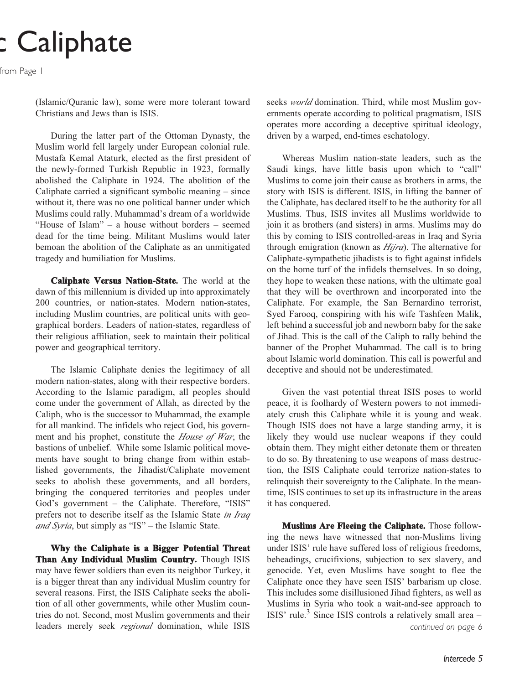### c Caliphate

from Page 1

(Islamic/Quranic law), some were more tolerant toward Christians and Jews than is ISIS.

During the latter part of the Ottoman Dynasty, the Muslim world fell largely under European colonial rule. Mustafa Kemal Ataturk, elected as the first president of the newly-formed Turkish Republic in 1923, formally abolished the Caliphate in 1924. The abolition of the Caliphate carried a significant symbolic meaning – since without it, there was no one political banner under which Muslims could rally. Muhammad's dream of a worldwide "House of Islam" – a house without borders – seemed dead for the time being. Militant Muslims would later bemoan the abolition of the Caliphate as an unmitigated tragedy and humiliation for Muslims.

**Caliphate Versus Nation-State.** The world at the dawn of this millennium is divided up into approximately 200 countries, or nation-states. Modern nation-states, including Muslim countries, are political units with geographical borders. Leaders of nation-states, regardless of their religious affiliation, seek to maintain their political power and geographical territory.

The Islamic Caliphate denies the legitimacy of all modern nation-states, along with their respective borders. According to the Islamic paradigm, all peoples should come under the government of Allah, as directed by the Caliph, who is the successor to Muhammad, the example for all mankind. The infidels who reject God, his government and his prophet, constitute the *House of War*, the bastions of unbelief. While some Islamic political movements have sought to bring change from within established governments, the Jihadist/Caliphate movement seeks to abolish these governments, and all borders, bringing the conquered territories and peoples under God's government – the Caliphate. Therefore, "ISIS" prefers not to describe itself as the Islamic State *in Iraq and Syria*, but simply as "IS" – the Islamic State.

**Why the Caliphate is a Bigger Potential Threat Than Any Individual Muslim Country.** Though ISIS may have fewer soldiers than even its neighbor Turkey, it is a bigger threat than any individual Muslim country for several reasons. First, the ISIS Caliphate seeks the abolition of all other governments, while other Muslim countries do not. Second, most Muslim governments and their leaders merely seek *regional* domination, while ISIS

seeks *world* domination. Third, while most Muslim governments operate according to political pragmatism, ISIS operates more according a deceptive spiritual ideology, driven by a warped, end-times eschatology.

Whereas Muslim nation-state leaders, such as the Saudi kings, have little basis upon which to "call" Muslims to come join their cause as brothers in arms, the story with ISIS is different. ISIS, in lifting the banner of the Caliphate, has declared itself to be the authority for all Muslims. Thus, ISIS invites all Muslims worldwide to join it as brothers (and sisters) in arms. Muslims may do this by coming to ISIS controlled-areas in Iraq and Syria through emigration (known as *Hijra*). The alternative for Caliphate-sympathetic jihadists is to fight against infidels on the home turf of the infidels themselves. In so doing, they hope to weaken these nations, with the ultimate goal that they will be overthrown and incorporated into the Caliphate. For example, the San Bernardino terrorist, Syed Farooq, conspiring with his wife Tashfeen Malik, left behind a successful job and newborn baby for the sake of Jihad. This is the call of the Caliph to rally behind the banner of the Prophet Muhammad. The call is to bring about Islamic world domination. This call is powerful and deceptive and should not be underestimated.

Given the vast potential threat ISIS poses to world peace, it is foolhardy of Western powers to not immediately crush this Caliphate while it is young and weak. Though ISIS does not have a large standing army, it is likely they would use nuclear weapons if they could obtain them. They might either detonate them or threaten to do so. By threatening to use weapons of mass destruction, the ISIS Caliphate could terrorize nation-states to relinquish their sovereignty to the Caliphate. In the meantime, ISIS continues to set up its infrastructure in the areas it has conquered.

**Muslims Are Fleeing the Caliphate.** Those following the news have witnessed that non-Muslims living under ISIS' rule have suffered loss of religious freedoms, beheadings, crucifixions, subjection to sex slavery, and genocide. Yet, even Muslims have sought to flee the Caliphate once they have seen ISIS' barbarism up close. This includes some disillusioned Jihad fighters, as well as Muslims in Syria who took a wait-and-see approach to ISIS' rule.<sup>3</sup> Since ISIS controls a relatively small area  $$ *continued on page 6*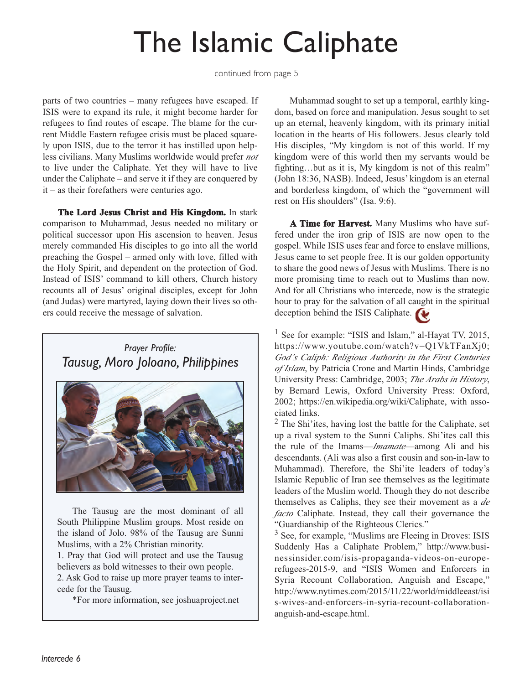## The Islamic Caliphate

continued from page 5

parts of two countries – many refugees have escaped. If ISIS were to expand its rule, it might become harder for refugees to find routes of escape. The blame for the current Middle Eastern refugee crisis must be placed squarely upon ISIS, due to the terror it has instilled upon helpless civilians. Many Muslims worldwide would prefer *not* to live under the Caliphate. Yet they will have to live under the Caliphate – and serve it if they are conquered by it – as their forefathers were centuries ago.

**The Lord Jesus Christ and His Kingdom.** In stark comparison to Muhammad, Jesus needed no military or political successor upon His ascension to heaven. Jesus merely commanded His disciples to go into all the world preaching the Gospel – armed only with love, filled with the Holy Spirit, and dependent on the protection of God. Instead of ISIS' command to kill others, Church history recounts all of Jesus' original disciples, except for John (and Judas) were martyred, laying down their lives so others could receive the message of salvation.

*Prayer Profile: Tausug, Moro Joloano, Philippines*



The Tausug are the most dominant of all South Philippine Muslim groups. Most reside on the island of Jolo. 98% of the Tausug are Sunni Muslims, with a 2% Christian minority.

1. Pray that God will protect and use the Tausug believers as bold witnesses to their own people.

2. Ask God to raise up more prayer teams to intercede for the Tausug.

\*For more information, see joshuaproject.net

Muhammad sought to set up a temporal, earthly kingdom, based on force and manipulation. Jesus sought to set up an eternal, heavenly kingdom, with its primary initial location in the hearts of His followers. Jesus clearly told His disciples, "My kingdom is not of this world. If my kingdom were of this world then my servants would be fighting…but as it is, My kingdom is not of this realm" (John 18:36, NASB). Indeed, Jesus' kingdom is an eternal and borderless kingdom, of which the "government will rest on His shoulders" (Isa. 9:6).

**A Time for Harvest.** Many Muslims who have suffered under the iron grip of ISIS are now open to the gospel. While ISIS uses fear and force to enslave millions, Jesus came to set people free. It is our golden opportunity to share the good news of Jesus with Muslims. There is no more promising time to reach out to Muslims than now. And for all Christians who intercede, now is the strategic hour to pray for the salvation of all caught in the spiritual deception behind the ISIS Caliphate.

<sup>1</sup> See for example: "ISIS and Islam," al-Hayat TV, 2015, https://www.youtube.com/watch?v=Q1VkTFanXj0; *God's Caliph: Religious Authority in the First Centuries of Islam*, by Patricia Crone and Martin Hinds, Cambridge University Press: Cambridge, 2003; *The Arabs in History*, by Bernard Lewis, Oxford University Press: Oxford, 2002; https://en.wikipedia.org/wiki/Caliphate, with associated links.

<sup>2</sup> The Shi'ites, having lost the battle for the Caliphate, set up a rival system to the Sunni Caliphs. Shi'ites call this the rule of the Imams—*Imamate*—among Ali and his descendants. (Ali was also a first cousin and son-in-law to Muhammad). Therefore, the Shi'ite leaders of today's Islamic Republic of Iran see themselves as the legitimate leaders of the Muslim world. Though they do not describe themselves as Caliphs, they see their movement as a *de facto* Caliphate. Instead, they call their governance the "Guardianship of the Righteous Clerics."

<sup>3</sup> See, for example, "Muslims are Fleeing in Droves: ISIS Suddenly Has a Caliphate Problem," http://www.businessinsider.com/isis-propaganda-videos-on-europerefugees-2015-9, and "ISIS Women and Enforcers in Syria Recount Collaboration, Anguish and Escape," http://www.nytimes.com/2015/11/22/world/middleeast/isi s-wives-and-enforcers-in-syria-recount-collaborationanguish-and-escape.html.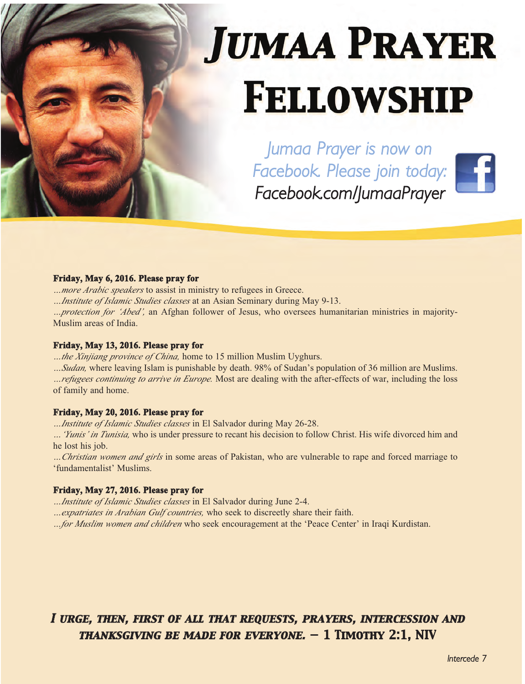# **JUMAA PRAYER FELLOWSHIP**

*Jumaa Prayer is now on Facebook. Please join today: Facebook.com/JumaaPrayer*

#### **Friday, May 6, 2016. Please pray for**

*…more Arabic speakers* to assist in ministry to refugees in Greece.

*…Institute of Islamic Studies classes* at an Asian Seminary during May 9-13.

*…protection for 'Abed',* an Afghan follower of Jesus, who oversees humanitarian ministries in majority-Muslim areas of India.

#### **Friday, May 13, 2016. Please pray for**

*…the Xinjiang province of China,* home to 15 million Muslim Uyghurs.

*…Sudan,* where leaving Islam is punishable by death. 98% of Sudan's population of 36 million are Muslims.

*…refugees continuing to arrive in Europe.* Most are dealing with the after-effects of war, including the loss of family and home.

#### **Friday, May 20, 2016. Please pray for**

*…Institute of Islamic Studies classes* in El Salvador during May 26-28.

*…'Yunis' in Tunisia,* who is under pressure to recant his decision to follow Christ. His wife divorced him and he lost his job.

*…Christian women and girls* in some areas of Pakistan, who are vulnerable to rape and forced marriage to 'fundamentalist' Muslims.

#### **Friday, May 27, 2016. Please pray for**

*…Institute of Islamic Studies classes* in El Salvador during June 2-4.

*…expatriates in Arabian Gulf countries,* who seek to discreetly share their faith.

*…for Muslim women and children* who seek encouragement at the 'Peace Center' in Iraqi Kurdistan.

#### *I urge, then, first of all that requests, prayers, intercession and thanksgiving be made for everyone. — 1 Timothy 2:1, NIV*

*Intercede 7*